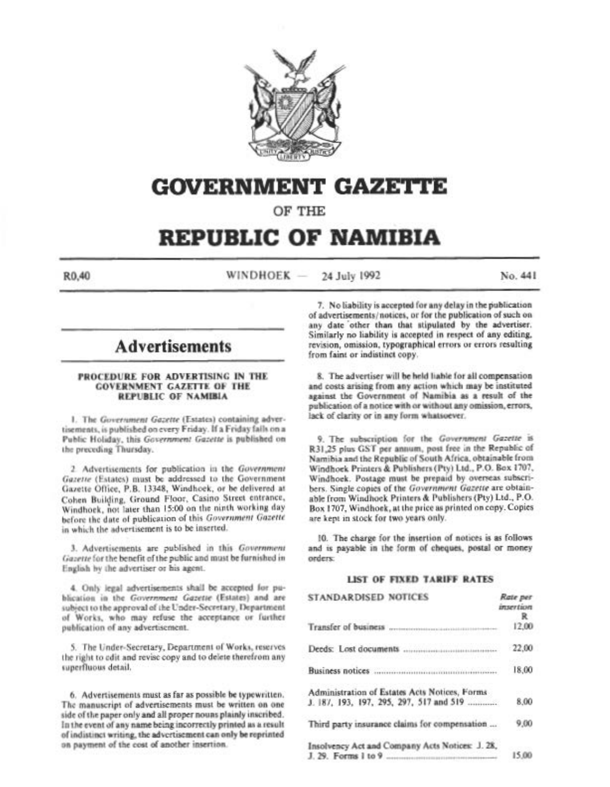

# GOVERNMENT GAZETtE

OF THE

## REPUBLIC OF NAMIBIA

 $R0.40$  WINDHOEK -24 July 1992 No. 441

## **Advertisements**

## PROCEDURE FOR ADVERTISING IN THE **COVERNMENT GAZETTE OF THE** REPUBLIC OF NAMIBIA

1. The *Government Gazette* (Estates) containing advertisements, is published on every Friday. If a Friday falls on a Public Holiday, this Government Gazette is published on the preceding Thursday.

2. Advertisements for publication in the Government Gazette (Estates) must be addressed to the Government Gazette Office, P.B. 13348, Windhoek, or be delivered at Cohen Building, Ground Floor, Casino Street entrance, Windhoek, not later than 15:00 on the ninth working day before the date of publication of this *Government Gazette* in which the advertisement is to be inserted.

3. Advertisements are published in this *Government* Gazette for the benefit of the public and must be furnished in English by the advertiser or his agent.

4. Only legal advertisements shall be accepted for pu-English by the advertiser or his agent.<br>
4. Only legal advertisements shall be accepted for pu-<br>
blication in the *Government Gazette* (Estates) and are<br>
subject to the approval of the Under-Secretary. Department blication in the *Government Gazette* (Estates) and are<br>subject to the approval of the Under-Secretary, Department<br>of Works, who may refuse the acceptance or further publication of any advertisement.

5. The Under-Secretary, Department of Works, reserves the right to edit and revise copy and to delete therefrom any superfluous detail.

6. Advertisements must as far as possible be typewritten. The manuscript of advertisements must be written on one side of the paper only and all proper nouns plainly inscribed. In the event of any name being incorrectly printed as a result  $of$  indistinct writing, the advertisement can only be reprinted on payment of the cost of another insertion.

7. No liability is accepted for any delay in the publication of advertisements/notices, or for the publication of such on any date other than that stipulated by the advertiser. Similarly no liability is accepted in respect of any editing, revision, omission, typographical errors or errors resulting from faint or indistinct copy.

8. The advertiser will be held liable for all compensation and costs arising from any action which may be instituted against the Government of Namibia as a result of the publication of a notice with or without any omission, errors, lack of clarity or in any form whatsoever.

9. The subscription for the Government Gazette is R31,25 plus GST per annum, post free in the Republic of Namibia and the Republic of South Africa, obtainable from Windhoek Printers & Publishers (Pty) Ltd., P.O. Box 1707, Windhoek. Postage must be prepaid by overseas subscribers. Single copies of the *Government Gazette* are obtainable from Windhoek Printers & Publishers (Pty) Ltd., P.O. Box 1707, Windhoek, at the price as printed on copy. Copies are kept in stock for two years only.

10. The charge for the insertion of notices is as follows and is payable in the form of cheques, postal or money orders:

## **LIST OF FIXED TARIFF RATES**

| <b>STANDARDISED NOTICES</b>                                                              | Rate per<br>insertion<br>R |
|------------------------------------------------------------------------------------------|----------------------------|
| Transfer of business                                                                     | 12.00                      |
|                                                                                          | 22.00                      |
|                                                                                          | 18,00                      |
| Administration of Estates Acts Notices, Forms<br>J. 187, 193, 197, 295, 297, 517 and 519 | 8.00                       |
| Third party insurance claims for compensation                                            | 9.00                       |
| Insolvency Act and Company Acts Notices: J. 28,<br>J. 29. Forms 1 to 9.                  | 15.00                      |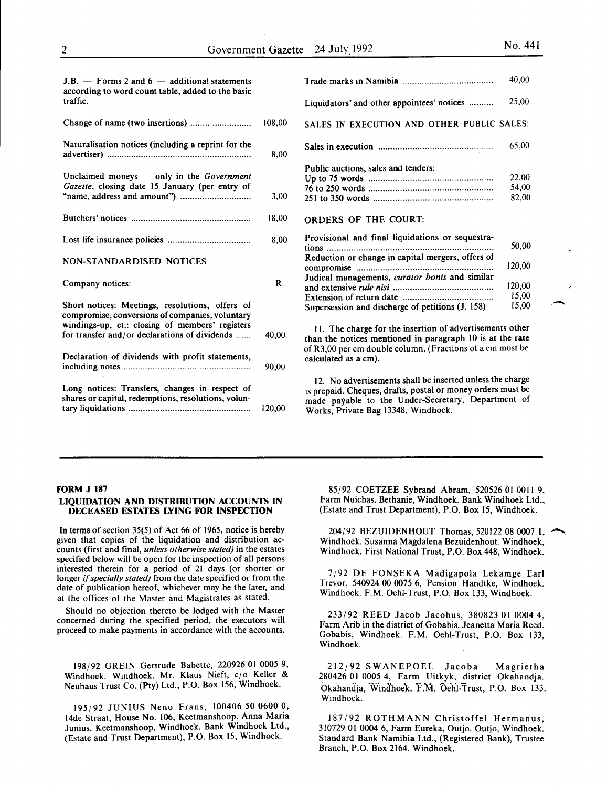15,00 15,00

--

| $J.B.$ – Forms 2 and 6 – additional statements<br>according to word count table, added to the basic<br>traffic. |        |
|-----------------------------------------------------------------------------------------------------------------|--------|
| Change of name (two insertions)                                                                                 | 108,00 |
| Naturalisation notices (including a reprint for the                                                             | 8,00   |
| Unclaimed moneys $-$ only in the <i>Government</i><br>Gazette, closing date 15 January (per entry of            | 3,00   |
|                                                                                                                 | 18,00  |
|                                                                                                                 | 8,00   |
| <b>NON-STANDARDISED NOTICES</b>                                                                                 |        |

#### Company notices: R

| Short notices: Meetings, resolutions, offers of<br>compromise, conversions of companies, voluntary<br>windings-up, et.: closing of members' registers<br>for transfer and/or declarations of dividends<br>Declaration of dividends with profit statements, |       |
|------------------------------------------------------------------------------------------------------------------------------------------------------------------------------------------------------------------------------------------------------------|-------|
|                                                                                                                                                                                                                                                            | 90.00 |
| Long notices: Transfers, changes in respect of<br>shares or capital, redemptions, resolutions, volun-                                                                                                                                                      |       |

## tary liquidations .................................................. 120,00

|                                                                                                     | 40,00                   |  |
|-----------------------------------------------------------------------------------------------------|-------------------------|--|
| Liquidators' and other appointees' notices                                                          | 25,00                   |  |
| SALES IN EXECUTION AND OTHER PUBLIC SALES:                                                          |                         |  |
|                                                                                                     | 65,00                   |  |
| Public auctions, sales and tenders:                                                                 | 22,00<br>54,00<br>82,00 |  |
| <b>ORDERS OF THE COURT:</b>                                                                         |                         |  |
| Provisional and final liquidations or sequestra-<br>tions                                           | 50,00                   |  |
| Reduction or change in capital mergers, offers of<br>Judical managements, curator bonis and similar | 120,00                  |  |
| and extensive rule nisi                                                                             | 120.00                  |  |

II. The charge for the insertion of advertisements other than the notices mentioned in paragraph 10 is at the rate of R3,00 per em double column. (Fractions of a em must be calculated as a em).

and extensive *rule nisi* ....................................... .. Extension of return date ................................... .. Supersession and discharge of petitions (J. 158)

I2. No advertisements shall be inserted unless the charge is prepaid. Cheques, drafts, postal or money orders must be made payable to the Under-Secretary, Department of Works, Private Bag I3348, Windhoek.

#### FORM J 187

## LIQUIDATION AND DISTRIBUTION ACCOUNTS IN DECEASED ESTATES LYING FOR INSPECTION

In terms of section 35(5) of Act 66 of 1965, notice is hereby given that copies of the liquidation and distribution accounts (first and final, *unless otherwise stated)* in the estates specified below will be open for the inspection of all persons interested therein for a period of 21 days (or shorter or longer if *specially stated)* from the date specified or from the date of publication hereof, whichever may be the later, and at the offices of the Master and Magistrates as stated.

Should no objection thereto be lodged with the Master concerned during the specified period, the executors will proceed to make payments in accordance with the accounts.

198/92 GREIN Gertrude Babette, 220926 01 0005 9, Windhoek. Windhoek. Mr. Klaus Nieft, c/o Keller & Neuhaus Trust Co. (Pty) Ltd., P.O. Box I56, Windhoek.

I95j92 JUNIUS Neno Frans, I00406 50 0600 0, 14de Straat, House No. 106, Keetmanshoop. Anna Maria Junius. Keetmanshoop, Windhoek. Bank Windhoek Ltd., (Estate and Trust Department), P.O. Box 15, Windhoek.

85/92 COETZEE Sybrand Abram, 520526 OI 0011 9, Farm Nuichas. Bethanie, Windhoek. Bank Windhoek Ltd., (Estate and Trust Department), P.O. Box I5, Windhoek.

204/92 BEZUIDENHOUT Thomas, 520122 08 0007 1,  $\sim$ Windhoek. Susanna Magdalena Bezuidenhout. Windhoek, Windhoek. First National Trust, P.O. Box 448, Windhoek.

7/92 DE FONSEKA Madigapola Lekamge Earl Trevor, 540924 00 0075 6, Pension Handtke, Windhoek. Windhoek. F.M. Oehl-Trust, P.O. Box 133, Windhoek.

233/92 REED Jacob Jacobus, 380823 01 0004 4, Farm Arib in the district of Gobabis. Jeanetta Maria Reed. Gobabis, Windhoek. F.M. Oehl-Trust, P.O. Box 133, Windhoek.

212/92 SWANEPOEL Jacoba Magrietha 280426 OI 0005 4, Farm Uitkyk, district Okahandja. Okahandja, Windhoek. F.M. Oehl-Trust, P.O. Box 133, Windhoek.

187/92 ROTHMANN Christoffel Hermanus, 310729 01 0004 6, Farm Eureka, Outjo. Outjo, Windhoek. Standard Bank Namibia Ltd., (Registered Bank), Trustee Branch, P.O. Box 2I64, Windhoek.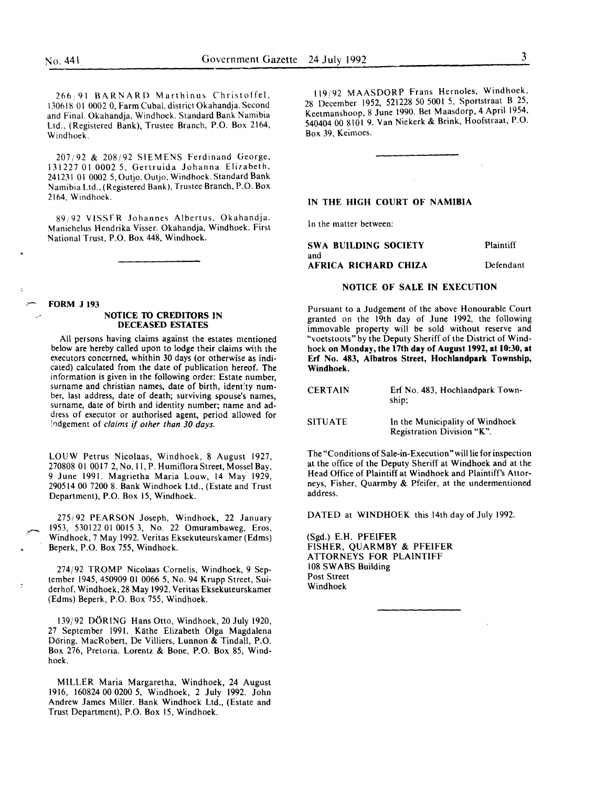266 91 BARNARD Marthinus Christoffel, 130618 01 0002 0, Farm Cuba!, district Okahandja. Second and Final. Okahandja, Windhoek. Standard Bank Namibia Ltd., (Registered Bank), Trustee Branch, P.O. Box 2164, Windhoek.

207;92 & 208;92 SIEMENS Ferdinand George, 131227 01 0002 5, Gertruida Johanna Elizabeth, 241231 01 0002 5, Outjo. Outjo, Windhoek. Standard Bank Namibia Ltd., (Registered Bank), Trustee Branch, P.O. Box 2164, Windhoek.

89;92 VlSSFR Johannes Albertus, Okahandja. Maniehelus Hendrika Visser. Okahandja, Windhoek. First National Trust, P.O. Box 448, Windhoek.

*r-* FORM J <sup>193</sup>

## */* NOTICE TO CREDITORS IN DECEASED ESTATES

All persons having claims against the estates mentioned below are hereby called upon to lodge their claims with the executors concerned, whithin 30 days (or otherwise as indicated) calculated from the date of publication hereof. The information is given in the following order: Estate number, surname and christian names, date of birth, identity number, last address, date of death; surviving spouse's names, surname, date of birth and identity number; name and address of executor or authorised agent, period allowed for :0dgement of *claims* if *other than 30 days.* 

LOUW Petrus Nicolaas, Windhoek, 8 August 1927, 270808 01 0017 2, No.I!, P. HumifloraStreet, Mossel Bay, 9 June 1991. Magrietha Maria Louw, 14 May 1929, 290514 00 7200 8. Bank Windhoek Ltd., (Estate and Trust Department), P.O. Box 15, Windhoek.

275/92 PEARSON Joseph, Windhoek, 22 January 1953, 530122 01 0015 3, No. 22 Omurambaweg, Eros, Windhoek, 7 May 1992. Veritas Eksekuteurskamer (Edms) Beperk, P.O. Box 755, Windhoek.

274/92 TROMP Nicolaas Cornelis, Windhoek, 9 September 1945, 450909 01 0066 5, No. 94 Krupp Street, Suiderhof, Windhoek, 28 May 1992. Veritas Eksekuteurskamer (Edms) Beperk, P.O. Box 755, Windhoek.

139/92 D6RING Hans Otto, Windhoek, 20 July 1920, 27 September 1991. Kathe Elizabeth Olga Magdalena Doring. MacRobert, De Villiers, Lunnon & Tindall, P.O. Box 276, Pretoria. Lorentz & Bone, P.O. Box 85, Windhoek.

MILLER Maria Margaretha, Windhoek, 24 August 1916, 160824 00 0200 5, Windhoek, 2 July 1992. John Andrew James Miller. Bank Windhoek Ltd., (Estate and Trust Department), P.O. Box 15, Windhoek.

119/92 MAASDORP Frans Hernoles, Windhoek, 28 December 1952, 521228 50 5001 5, Sportstraat B 25, Keetmanshoop, 8 June 1990. Bet Maasdorp, 4 April 1954, 540404 00 8101 9. Van Niekerk & Brink, Hoofstraat, P.O. Box 39, Keimoes.

#### IN THE HIGH COURT OF NAMIBIA

In the matter between:

SWA BUILDING SOCIETY and AFRICA RICHARD CHIZA Plaintiff Defendant

## NOTICE OF SALE IN EXECUTION

Pursuant to a Judgement of the above Honourable Court granted on the 19th day of June 1992, the following immovable property will be sold without reserve and "voetstoots" by the Deputy Sheriff of the District of Windhoek on Monday, the 17th day of August 1992, at 10:30, at Erf No. 483, Albatros Street, Hochlandpark Township, Windhoek.

| <b>CERTAIN</b> | Erf No. 483, Hochlandpark Town-<br>ship:                                                                                                                                                                                       |
|----------------|--------------------------------------------------------------------------------------------------------------------------------------------------------------------------------------------------------------------------------|
| CUTIIA         | The contract of the contract of the state of the contract of the contract of the contract of the contract of the contract of the contract of the contract of the contract of the contract of the contract of the contract of t |

SITUATE In the Municipality of Windhoek Registration Division "K".

The "Conditions of Sale-in-Execution "will lie for inspection at the office of the Deputy Sheriff at Windhoek and at the Head Office of Plaintiff at Windhoek and Plaintiff's Attorneys, Fisher, Quarmby & Pfeifer, at the undermentioned address.

DATED at WINDHOEK this 14th day of July 1992.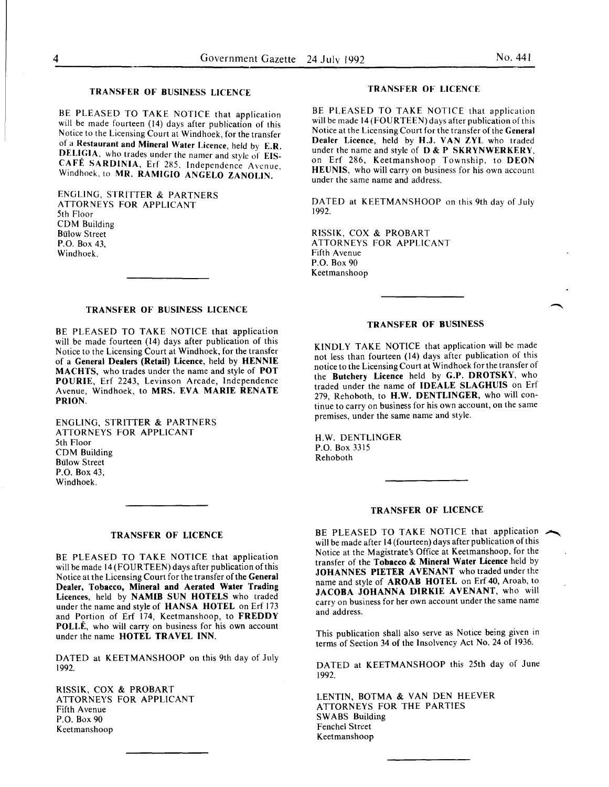## TRANSFER OF BUSINESS LICENCE

BE PLEASED TO TAKE NOTICE that application will be made fourteen (14) days after publication of this Notice to the Licensing Court at Windhoek, for the transfer of a Restaurant and Mineral Water Licence, held by E.R. DELIGIA, who trades under the namer and style of EIS-CAFÉ SARDINIA, Erf 285, Independence Avenue, Windhoek, to MR. RAMIGIO ANGELO ZANOLIN.

ENGLING, STRITTER & PARTNERS ATTORNEYS FOR APPLICANT 5th Floor COM Building Bulow Street P.O. Box 43, Windhoek.

## TRANSFER OF BUSINESS LICENCE

BE PLEASED TO TAKE NOTICE that application will be made fourteen (14) days after publication of this Notice to the Licensing Court at Windhoek, for the transfer of a General Dealers (Retail) Licence, held by HENNIE MACHTS, who trades under the name and style of POT POURIE, Erf 2243, Levinson Arcade, Independence Avenue, Windhoek, to MRS. EVA MARIE RENATE PRION.

ENGLING, STRITTER & PARTNERS ATTORNEYS FOR APPLICANT 5th Floor COM Building **Bülow Street** P.O. Box 43, Windhoek.

#### TRANSFER OF LICENCE

BE PLEASED TO TAKE NOTICE that application will be made 14 (FOURTEEN) days after publication of this Notice at the Licensing Court for the transfer of the General Dealer, Tobacco, Mineral and Aerated Water Trading Licences, held by NAMIB SUN HOTELS who traded under the name and style of HANSA HOTEL on Erf 173 and Portion of Erf 174, Keetmanshoop, to FREDDY POLLE, who will carry on business for his own account under the name HOTEL TRAVEL INN.

DATED at KEETMANSHOOP on this 9th day of July 1992.

RISSIK, COX & PROBART ATTORNEYS FOR APPLICANT Fifth Avenue P.O. Box 90 Keetmanshoop

## TRANSFER OF LICENCE

BE PLEASED TO TAKE NOTICE that application will be made 14 (FOURTEEN) days after publication of this Notice at the Licensing Court for the transfer of the General Dealer Licence, held by H.J. VAN ZYL who traded under the name and style of D & P SKRYNWERKERY. on Erf 286, Keetmanshoop Township, to DEON HEUNIS, who will carry on business for his own account under the same name and address.

DATED at KEETMANSHOOP on this 9th day of July 1992.

RISSIK, COX & PROBART ATTORNEYS FOR APPLICANT Fifth Avenue P.O. Box 90 Keetmanshoop

## TRANSFER OF BUSINESS

KINDLY TAKE NOTICE that application will be made not less than fourteen (14) days after publication of this notice to the Licensing Court at Windhoek for the transfer of the Butchery Licence held by G.P. DROTSKY, who traded under the name of IDEALE SLAGHUIS on Erf 279, Rehoboth, to H.W. DENTLINGER, who will continue to carry on business for his own account, on the same premises, under the same name and style.

H.W. DENTLINGER P.O. Box 3315 Rehoboth

#### TRANSFER OF LICENCE

BE PLEASED TO TAKE NOTICE that application will be made after 14 (fourteen) days after publication of this Notice at the Magistrate's Office at Keetmanshoop, for the transfer of the Tobacco & Mineral Water Licence held by JOHANNES PIETER AVENANT who traded under the name and style of AROAB HOTEL on Erf 40, Aroab, to JACOBA JOHANNA DIRKIE AVENANT, who will carry on business for her own account under the same name and address.

This publication shall also serve as Notice being given in terms of Section 34 of the Insolvency Act No. 24 of 1936.

DATED at KEETMANSHOOP this 25th day of June 1992.

LENTIN, BOTMA & VAN DEN HEEVER ATTORNEYS FOR THE PARTIES SWABS Building Fenchel Street Keetmanshoop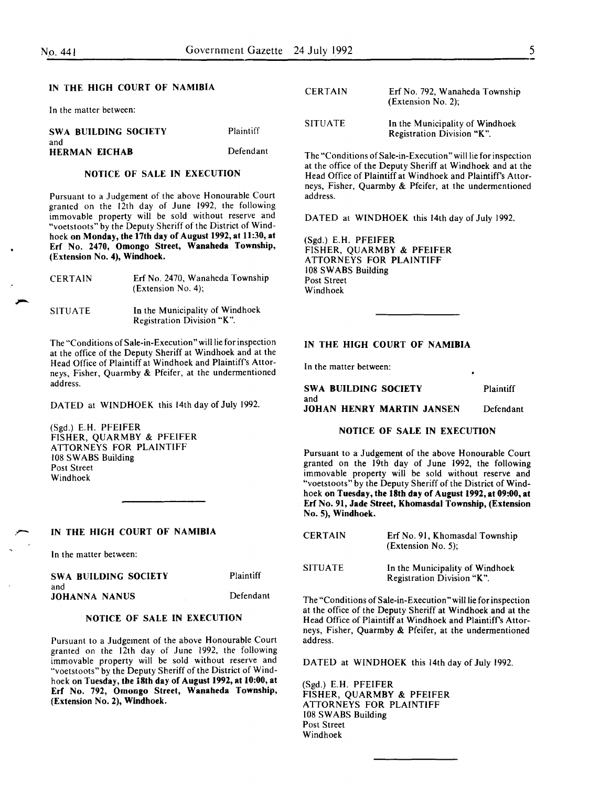In the matter between:

SWA BUILDING SOCIETY and HERMAN EICHAB Plaintiff Defendant

## NOTICE OF SALE IN EXECUTION

Pursuant to a Judgement of the above Honourable Court granted on the 12th day of June 1992, the following immovable property will be sold without reserve and "voetstoots" by the Deputy Sheriff of the District of Windhoek on Monday, the 17th day of August 1992, at 11:30, at Erf No. 2470, Omongo Street, Wanaheda Township, (Extension No.4), Windhoek.

| <b>CERTAIN</b> | Erf No. 2470, Wanaheda Township<br>$(Extension No. 4)$ ;      |
|----------------|---------------------------------------------------------------|
| <b>SITUATE</b> | In the Municipality of Windhoek<br>Registration Division "K". |

The "Conditions of Sale-in-Execution" will lie for inspection at the office of the Deputy Sheriff at Windhoek and at the Head Office of Plaintiff at Windhoek and Plaintiff's Attorneys, Fisher, Quarmby & Pfeifer, at the undermentioned address.

DATED at WINDHOEK this 14th day of July 1992.

(Sgd.) E.H. PFEIFER FISHER, QUARMBY & PFEIFER ATTORNEYS FOR PLAINTIFF I 08 SWABS Building Post Street Windhoek

IN THE HIGH COURT OF NAMIBIA

In the matter between:

SWA BUILDING SOCIETY and JOHANNA NANUS **Plaintiff** Defendant

## NOTICE OF SALE IN EXECUTION

Pursuant to a Judgement of the above Honourable Court granted on the 12th day of June 1992, the following immovable property will be sold without reserve and "voetstoots" by the Deputy Sheriff of the District of Windhoek on Tuesday, the 18th day of August 1992, at 10:00, at Erf No. 792, Omongo Street, Wanaheda Townshtp, (Extension No. 2), Windhoek.

| <b>CERTAIN</b> | Erf No. 792, Wanaheda Township<br>(Extension No. 2);          |
|----------------|---------------------------------------------------------------|
| <b>SITUATE</b> | In the Municipality of Windhoek<br>Registration Division "K". |

The "Conditions of Sale-in-Execution" will lie for inspection at the office of the Deputy Sheriff at Windhoek and at the Head Office of Plaintiff at Windhoek and Plaintiff's Attorneys, Fisher, Quarmby & Pfeifer, at the undermentioned address.

DATED at WINDHOEK this 14th day of July 1992.

(Sgd.) E.H. PFEIFER FISHER, QUARMBY & PFEIFER ATTORNEYS FOR PLAINTIFF 108 SWABS Building Post Street Windhoek

#### IN THE HIGH COURT OF NAMIBIA

In the matter between:

SWA BUILDING SOCIETY Plaintiff and JOHAN HENRY MARTIN JANSEN Defendant

#### NOTICE OF SALE IN EXECUTION

Pursuant to a Judgement of the above Honourable Court granted on the 19th day of June 1992, the following immovable property will be sold without reserve and "voetstoots" by the Deputy Sheriff of the District of Windhoek on Tuesday, the 18th day of August 1992, at 09:00, at Erf No. 91, Jade Street, Khomasdal Township, (Extension No. 5), Windhoek.

| <b>CERTAIN</b> | Erf No. 91, Khomasdal Township<br>$(Extension No. 5)$ :       |
|----------------|---------------------------------------------------------------|
| <b>SITUATE</b> | In the Municipality of Windhoek<br>Registration Division "K". |

The "Conditions of Sale-in-Execution" will lie for inspection at the office of the Deputy Sheriff at Windhoek and at the Head Office of Plaintiff at Windhoek and Plaintiff's Attorneys, Fisher, Quarmby & Pfeifer, at the undermentioned address.

DATED at WINDHOEK this 14th day of July 1992.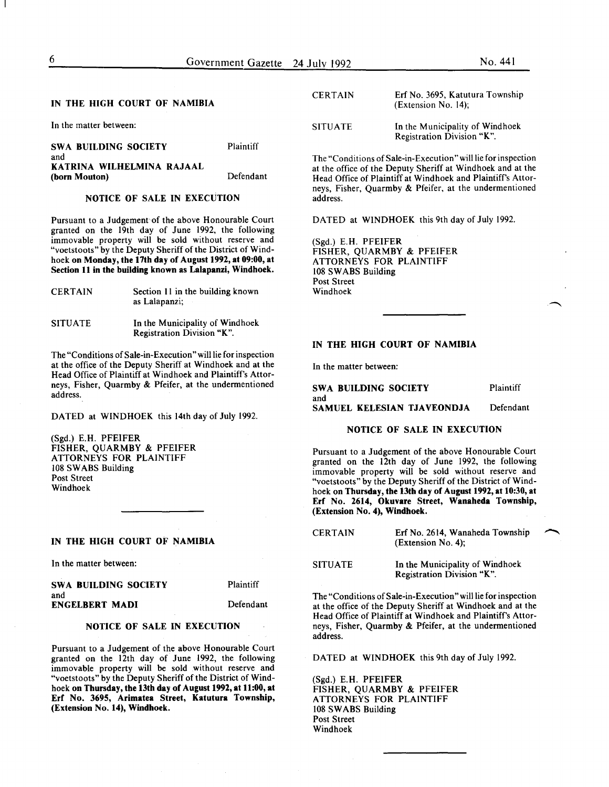In the matter between:

SWA BUILDING SOCIETY and KATRINA WILHELMINA RAJAAL (born Mouton) Plaintiff Defendant

#### NOTICE OF SALE IN EXECUTION

Pursuant to a Judgement of the above Honourable Court granted on the 19th day of June 1992, the following immovable property will be sold without reserve and "voetstoots" by the Deputy Sheriff of the District of Windhoek on Monday, the 17th day of August 1992, at 09:00, at Section 11 in the building known as Lalapanzi, Windhoek.

| <b>CERTAIN</b> | Section 11 in the building known |
|----------------|----------------------------------|
|                | as Lalapanzi;                    |

SITUATE In the Municipality of Windhoek Registration Division "K".

The "Conditions of Sale-in-Execution" will lie for inspection at the office of the Deputy Sheriff at Windhoek and at the Head Office of Plaintiff at Windhoek and Plaintiff's Attorneys, Fisher, Quarmby & Pfeifer, at the undermentioned address.

DATED at WINDHOEK this 14th day of July 1992.

(Sgd.) E.H. PFEIFER FISHER, QUARMBY & PFEIFER ATTORNEYS FOR PLAINTIFF 108 SWABS Building Post Street Windhoek

#### IN THE HIGH COURT OF NAMIBIA

In the matter between:

SWA BUILDING SOCIETY and ENGELBERT MADI

Plaintiff Defendant

#### NOTICE OF SALE IN EXECUTION

Pursuant to a Judgement of the above Honourable Court granted on the 12th day of June 1992, the following immovable property will be sold without reserve and "voetstoots" by the Deputy Sheriff of the District of Windhoek on Thursday, the 13th day of August 1992, at 11:00, at Erf No. 3695, Arimatea Street, Katutura Township, (Extension No. 14), Windhoek.

| <b>CERTAIN</b> | Erf No. 3695, Katutura Township<br>(Extension No. 14);        |
|----------------|---------------------------------------------------------------|
| <b>SITUATE</b> | In the Municipality of Windhoek<br>Registration Division "K". |

The "Conditions of Sale-in-Execution" will lie for inspection at the office of the Deputy Sheriff at Windhoek and at the Head Office of Plaintiff at Windhoek and Plaintiff's Attorneys, Fisher, Quarmby & Pfeifer, at the undermentioned address.

DATED at WINDHOEK this 9th day of July 1992.

(Sgd.) E.H. PFEIFER FISHER, QUARMBY & PFEIFER ATTORNEYS FOR PLAINTIFF 108 SWABS Building Post Street Windhoek

## IN THE HIGH COURT OF NAMIBIA

In the matter between:

SWA BUILDING SOCIETY and SAMUEL KELESIAN TJAVEONDJA Plaintiff Defendant

#### NOTICE OF SALE IN EXECUTION

Pursuant to a Judgement of the above Honourable Court granted on the 12th day of June 1992, the following immovable property will be sold without reserve and "voetstoots" by the Deputy Sheriff of the District of Windhoek on Thursday, the 13th day of August 1992, at 10:30, at Erf No. 2614, Okuvare Street, Wanaheda Township, (Extension No. 4), Windhoek.

| <b>CERTAIN</b> | Erf No. 2614, Wanaheda Township<br>$(Extension No. 4)$ ;      |  |
|----------------|---------------------------------------------------------------|--|
| <b>SITUATE</b> | In the Municipality of Windhoek<br>Registration Division "K". |  |

The "Conditions of Sale-in-Execution" will lie for inspection at the office of the Deputy Sheriff at Windhoek and at the Head Office of Plaintiff at Windhoek and Plaintiff's Attorneys, Fisher, Quarmby & Pfeifer, at the undermentioned address.

DATED at WINDHOEK this 9th day of July 1992.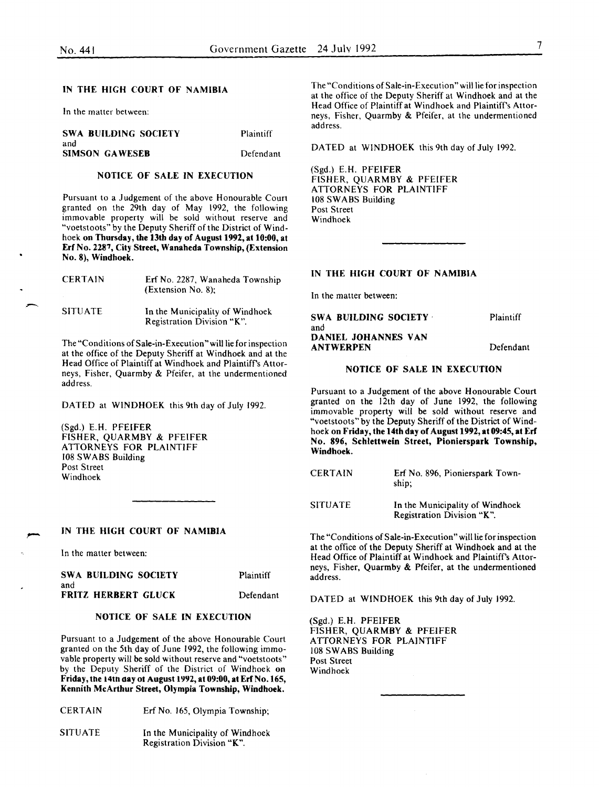In the matter between:

| SWA BUILDING SOCIETY         | Plaintiff |
|------------------------------|-----------|
| and<br><b>SIMSON GAWESEB</b> | Defendant |

## NOTICE OF SALE IN EXECUTION

Pursuant to a Judgement of the above Honourable Court granted on the 29th day of May 1992, the following immovable property will be sold without reserve and "voetstoots" by the Deputy Sheriff of the District of Windhoek on Thursday, the 13th day of August 1992, at 10:00, at Erf No. 2287, City Street, Wanaheda Township, (Extension No. 8), Windhoek.

| <b>CERTAIN</b> | Erf No. 2287, Wanaheda Township<br>(Extension No. 8):         |
|----------------|---------------------------------------------------------------|
| <b>SITUATE</b> | In the Municipality of Windhoek<br>Registration Division "K". |

The "Conditions of Sale-in-Execution "will lie for inspection at the office of the Deputy Sheriff at Windhoek and at the Head Office of Plaintiff at Windhoek and Plaintiff's Attorneys, Fisher, Quarmby & Pfeifer, at the undermentioned address.

DATED at WINDHOEK this 9th day of July 1992.

(Sgd.) E.H. PFEIFER FISHER, QUARMBY & PFEIFER ATTORNEYS FOR PLAINTIFF 108 SWABS Building Post Street Windhoek

#### IN THE HIGH COURT OF NAMIBIA

In the matter between:

| SWA BUILDING SOCIETY       | Plaintiff |
|----------------------------|-----------|
| and                        |           |
| <b>FRITZ HERBERT GLUCK</b> | Defendant |

## NOTICE OF SALE IN EXECUTION

Pursuant to a Judgement of the above Honourable Court granted on the 5th day of June 1992, the following immovable property will be sold without reserve and "voetstoots" by the Deputy Sheriff of the District of Windhoek on Friday, the 14th day ot August 1992, at 09:00, at Erf No. 165, Kennith McArthur Street, Olympia Township, Windhoek.

| <b>CERTAIN</b> | Erf No. 165, Olympia Township;  |
|----------------|---------------------------------|
| <b>SITUATE</b> | In the Municipality of Windhoek |

Registration Division "K".

The "Conditions of Sale-in-Execution" will lie for inspection at the office of the Deputy Sheriff at Windhoek and at the Head Office of Plaintiff at Windhoek and Plaintiff's Attorneys, Fisher, Quarmby & Pfeifer, at the undermentioned address.

DATED at WINDHOEK this 9th day of July 1992.

(Sgd.) E.H. PFEIFER FISHER, QUARMBY & PFEIFER ATTORNEYS FOR PLAINTIFF 108 SWABS Building Post Street Windhoek

#### IN THE HIGH COURT OF NAMIBIA

In the matter between:

| SWA BUILDING SOCIETY | Plaintiff |
|----------------------|-----------|
| and                  |           |
| DANIEL JOHANNES VAN  |           |
| <b>ANTWERPEN</b>     | Defendant |

## NOTICE OF SALE IN EXECUTION

Pursuant to a Judgement of the above Honourable Court granted on the 12th day of June 1992, the following immovable property will be sold without reserve and "voetstoots" by the Deputy Sheriff of the District of Windhoek on Friday, the 14th day of August 1992, at 09:45, at Erf No. 896, Schlettwein Street, Pionierspark Township, Windhoek.

| <b>CERTAIN</b> | Erf No. 896, Pionierspark Town-<br>ship;                      |
|----------------|---------------------------------------------------------------|
| <b>SITUATE</b> | In the Municipality of Windhoek<br>Registration Division "K". |

The "Conditions of Sale-in-Execution" will lie for inspection at the office of the Deputy Sheriff at Windhoek and at the Head Office of Plaintiff at Windhoek and Plaintiff's Attorneys, Fisher, Quarmby & Pfeifer, at the underrnentioned address.

DATED at WINDHOEK this 9th day of July 1992.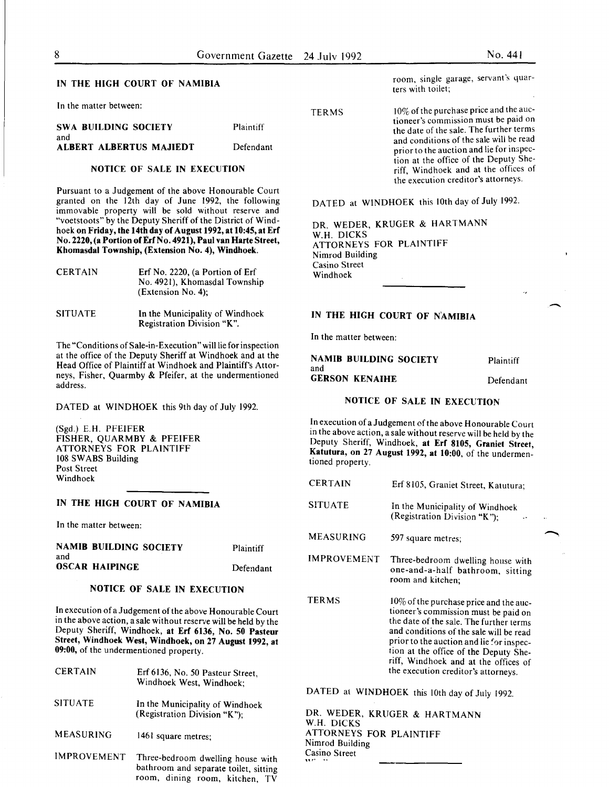In the matter between:

SWA BUILDING SOCIETY and ALBERT ALBERTUS MAJIEDT Plaintiff

Defendant

## NOTICE OF SALE IN EXECUTION

Pursuant to a Judgement of the above Honourable Court granted on the 12th day of June 1992, the following immovable property will be sold without reserve and "voetstoots" by the Deputy Sheriff of the District of Windhoek on Friday, the 14th day of August 1992, at 10:45, at Erf No. 2220, (a Portion of Erf No. 4921), Paul van Harte Street, Khomasdal Township, (Extension No.4), Windhoek.

| <b>CERTAIN</b> | Erf No. 2220, (a Portion of Erf<br>No. 4921), Khomasdal Township<br>(Extension No. 4): |
|----------------|----------------------------------------------------------------------------------------|
| <b>SITUATE</b> | In the Municipality of Windhoek                                                        |

The "Conditions of Sale-in-Execution" will lie for inspection at the office of the Deputy Sheriff at Windhoek and at the Head Office of Plaintiff at Windhoek and Plaintiff's Attorneys, Fisher, Quarmby & Pfeifer, at the undermentioned address.

Registration Division "K".

DATED at WINDHOEK this 9th day of July 1992.

(Sgd.) E.H. PFEIFER FISHER, QUARMBY & PFEIFER ATTORNEYS FOR PLAINTIFF 108 SWABS Building Post Street Windhoek

## IN THE HIGH COURT OF NAMIBIA

In the matter between:

| and | <b>NAMIB BUILDING SOCIETY</b> | Plaintiff |
|-----|-------------------------------|-----------|
|     | <b>OSCAR HAIPINGE</b>         | Defendant |

## NOTICE OF SALE IN EXECUTION

In execution of a Judgement of the above Honourable Court in the above action, a sale without reserve will be held by the Deputy Sheriff, Windhoek, at Erf 6136, No. 50 Pasteur Street, Windhoek West, Windhoek, on 27 August 1992, at 09:00, of the undermentioned property.

| <b>CERTAIN</b>   | Erf 6136, No. 50 Pasteur Street,<br>Windhoek West, Windhoek;    |
|------------------|-----------------------------------------------------------------|
| <b>SITUATE</b>   | In the Municipality of Windhoek<br>(Registration Division "K"); |
| <b>MEASURING</b> | 1461 square metres;                                             |
|                  |                                                                 |

IMPROVEMENT Three-bedroom dwelling house with bathroom and separate toilet, sitting room, dining room, kitchen, TV

10% of the purchase price and the auctioneer's commission must be paid on the date of the sale. The further terms and conditions of the sale will be read prior to the auction and lie for inspection at the office of the Deputy Sheriff, Windhoek and at the offices of the execution creditor's attorneys.

DATED at WINDHOEK this lOth day of July 1992.

DR. WEDER, KRUGER & HARTMANN W.H. DICKS ATTORNEYS FOR PLAINTIFF Nimrod Building Casino Street Windhoek

## IN THE HIGH COURT OF N'AMIBIA

In the matter between:

 $CDTAM$ 

| NAMIB BUILDING SOCIETY<br>and | Plaintiff |
|-------------------------------|-----------|
| <b>GERSON KENAIHE</b>         | Defendant |

## NOTICE OF SALE IN EXECUTION

In execution of a Judgement of the above Honourable Court in the above action, a sale without reserve will be held by the Deputy Sheriff, Windhoek, at Erf 8105, Graniet Street, Katutura, on 27 August 1992, at 10:00, of the undermentioned property.

| <b>CERTAIN</b>     | Erf 8105, Graniet Street, Katutura;                                                                                                                                                                                                                                                                                                      |  |
|--------------------|------------------------------------------------------------------------------------------------------------------------------------------------------------------------------------------------------------------------------------------------------------------------------------------------------------------------------------------|--|
| <b>SITUATE</b>     | In the Municipality of Windhoek<br>(Registration Division "K");<br>$\mathbf{r}$                                                                                                                                                                                                                                                          |  |
| <b>MEASURING</b>   | 597 square metres;                                                                                                                                                                                                                                                                                                                       |  |
| <b>IMPROVEMENT</b> | Three-bedroom dwelling house with<br>one-and-a-half bathroom, sitting<br>room and kitchen;                                                                                                                                                                                                                                               |  |
| TERMS              | 10% of the purchase price and the auc-<br>tioneer's commission must be paid on<br>the date of the sale. The further terms<br>and conditions of the sale will be read<br>prior to the auction and lie for inspec-<br>tion at the office of the Deputy She-<br>riff, Windhoek and at the offices of<br>the execution creditor's attorneys. |  |

DATED at WINDHOEK this lOth day of July 1992.

DR. WEDER, KRUGER & HARTMANN W.H. DICKS ATTORNEYS FOR PLAINTIFF Nimrod Building Casino Street

TERMS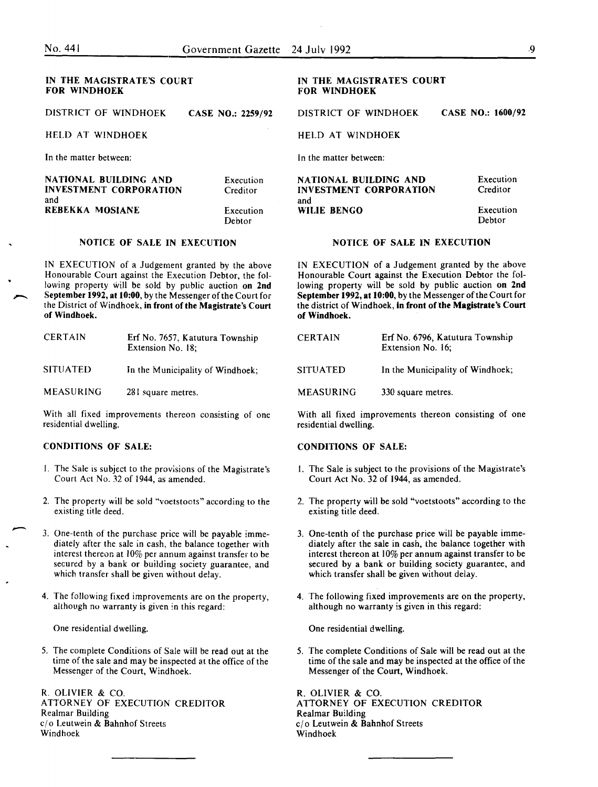#### IN THE MAGISTRATE'S COURT FOR WINDHOEK

DISTRICT OF WINDHOEK CASE NO.: 2259/92

HELD AT WINDHOEK

In the matter between:

| NATIONAL BUILDING AND         | Execution |
|-------------------------------|-----------|
| <b>INVESTMENT CORPORATION</b> | Creditor  |
| and                           | Execution |
| REBEKKA MOSIANE               | Debtor    |

#### NOTICE OF SALE IN EXECUTION

IN EXECUTION of a Judgement granted by the above Honourable Court against the Execution Debtor, the following property will be sold by public auction on 2nd September 1992, at 10:00, by the Messenger of the Court for the District of Windhoek, in front of the Magistrate's Court of Windhoek.

| <b>CERTAIN</b>   | Erf No. 7657, Katutura Township<br>Extension No. 18; |
|------------------|------------------------------------------------------|
| <b>SITUATED</b>  | In the Municipality of Windhoek:                     |
| <b>MEASURING</b> | 281 square metres.                                   |

With all fixed improvements thereon consisting of one residential dwelling.

#### CONDITIONS OF SALE:

- I. The Sale 1s subject to the provisions of the Magistrate's Court Act No. *32* of 1944, as amended.
- 2. The property will be sold "voetstoots" according to the existing title deed.
- 3. One-tenth of the purchase price will be payable immediately after the sale in cash, the balance together with interest thereon at 10% per annum against transfer to be secured by a bank or building society guarantee, and which transfer shall be given without delay.
- 4. The following fixed improvements are on the property, although no warranty is given in this regard:

One residential dwelling.

5. The complete Conditions of Sale will be read out at the time of the sale and may be inspected at the office of the Messenger of the Court, Windhoek.

R. OLIVIER & CO. ATTORNEY OF EXECUTION CREDITOR Realmar Building c/o Leutwein & Bahnhof Streets Windhoek

#### IN THE MAGISTRATE'S COURT FOR WINDHOEK

DISTRICT OF WINDHOEK CASE NO.: 1600/92

HELD AT WINDHOEK In the matter between:

**NATIONAL BUILDING AND Execution**<br>
INVESTMENT CORPORATION Creditor **INVESTMENT CORPORATION** and WILIE BENGO Execution

Debtor

#### NOTICE OF SALE IN EXECUTION

IN EXECUTION of a Judgement granted by the above Honourable Court against the Execution Debtor the following property will be sold by public auction on 2nd September 1992, at 10:00, by the Messenger of the Court for the district of Windhoek, in front of the Magistrate's Court of Windhoek.

| <b>CERTAIN</b>   | Erf No. 6796, Katutura Township<br>Extension No. 16; |
|------------------|------------------------------------------------------|
| SITUATED         | In the Municipality of Windhoek:                     |
| <b>MEASURING</b> | 330 square metres.                                   |

With all fixed improvements thereon consisting of one residential dwelling.

## CONDITIONS OF SALE:

- I. The Sale is subject to the provisions of the Magistrate's Court Act No. 32 of 1944, as amended.
- 2. The property will be sold "voetstoots" according to the existing title deed.
- 3. One-tenth of the purchase price will be payable immediately after the sale in cash, the balance together with interest thereon at 10% per annum against transfer to be secured by a bank or building society guarantee, and which transfer shall be given without delay.
- 4. The following fixed improvements are on the property, although no warranty *is* given in this regard:

One residential dwelling.

5. The complete Conditions of Sale will be read out at the time of the sale and may be inspected at the office of the Messenger of the Court, Windhoek.

R. OLIVIER & CO. ATTORNEY OF EXECUTION CREDITOR Realmar Building c/o Leutwein & Bahnhof Streets Windhoek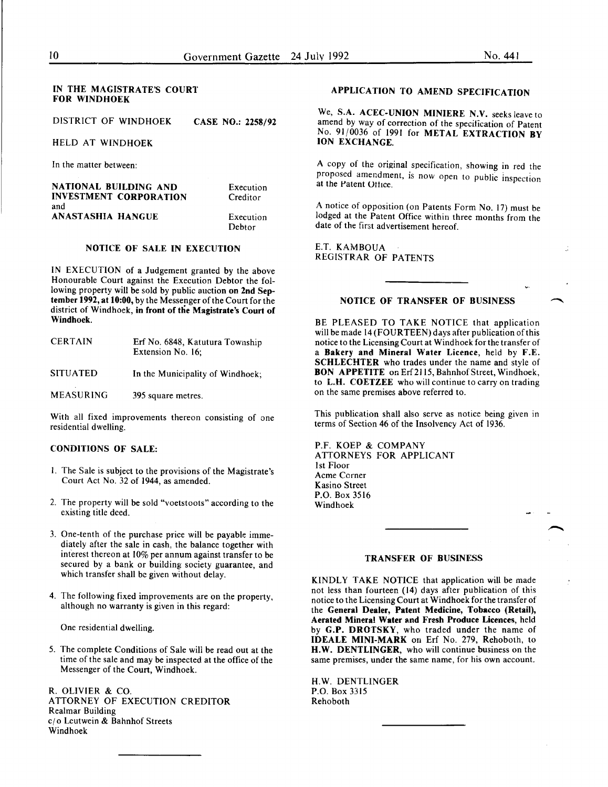## IN THE MAGISTRATE'S COURT FOR WINDHOEK

DISTRICT OF WINDHOEK CASE NO.: 2258/92

HELD AT WINDHOEK

In the matter between:

NATIONAL BUILDING AND INVESTMENT CORPORATION and ANASTASHIA HANGUE Execution Creditor Execution Debtor

## NOTICE OF SALE IN EXECUTION

IN EXECUTION of a Judgement granted by the above Honourable Court against the Execution Debtor the following property will be sold by public auction on 2nd September 1992, at 10:00, by the Messenger of the Court for the district of Windhoek, in front of the Magistrate's Court of Windhoek.

| <b>CERTAIN</b>   | Erf No. 6848, Katutura Township<br>Extension No. 16; |
|------------------|------------------------------------------------------|
| <b>SITUATED</b>  | In the Municipality of Windhoek;                     |
| <b>MEASURING</b> | 395 square metres.                                   |

With all fixed improvements thereon consisting of one residential dwelling.

## CONDITIONS OF SALE:

- I. The Sale is subject to the provisions of the Magistrate's Court Act No. 32 of 1944, as amended.
- 2. The property will be sold "voetstoots" according to the existing title deed.
- 3. One-tenth of the purchase price will be payable immediately after the sale in cash, the balance together with interest thereon at 10% per annum against transfer to be secured by a bank or building society guarantee, and which transfer shall be given without delay.
- 4. The following fixed improvements are on the property, although no warranty is given in this regard:

One residential dwelling.

5. The complete Conditions of Sale will be read out at the time of the sale and may be inspected at the office of the Messenger of the Court, Windhoek.

R. OLIVIER & CO. ATTORNEY OF EXECUTION CREDITOR Realmar Building cj o Lcutwein & Bahnhof Streets Windhoek

## APPLICATION TO AMEND SPECIFICATION

We, S.A. ACEC-UNION MINIERE N.V. seeks leave to amend by way of correction of the specification of Patent No. 91/0036 of 1991 for METAL EXTRACTION BY ION EXCHANGE.

A copy of the original specification, showing in red the proposed amendment, is now open to public inspection at the Patent Ottice.

A notice of opposition (on Patents Form No. 17) must be lodged at the Patent Office within three months from the date of the first advertisement hereof.

E.T. KAMBOUA REGISTRAR OF PATENTS

## NOTICE OF TRANSFER OF BUSINESS

BE PLEASED TO TAKE NOTICE that application will be made 14 (FOURTEEN) days after publication of this notice to the Licensing Court at Windhoek for the transfer of a Bakery and Mineral Water Licence, held by F.E. SCHLECHTER who trades under the name and style of BON APPETITE on Erf 2115, Bahnhof Street, Windhoek, to L.H. COETZEE who will continue to carry on trading on the same premises above referred to.

This publication shall also serve as notice being given in terms of Section 46 of the Insolvency Act of 1936.

P.F. KOEP & COMPANY ATTORNEYS FOR APPLICANT 1st Floor Acme Corner Kasino Street P.O. Box 3516 Windhoek

#### TRANSFER OF BUSINESS

KINDLY TAKE NOTICE that application will be made not less than fourteen (14) days after publication of this notice to the Licensing Court at Windhoek for the transfer of the General Dealer, Patent Medicine, Tobacco (Retail), Aerated Mineral Water and Fresh Produce Licences, held by G.P. DROTSKY, who traded under the name of IDEALE MINI-MARK on Erf No. 279, Rehoboth, to H.W. DENTLINGER, who will continue business on the same premises, under the same name, for his own account.

H.W. DENTLINGER P.O. Box 3315 Rehoboth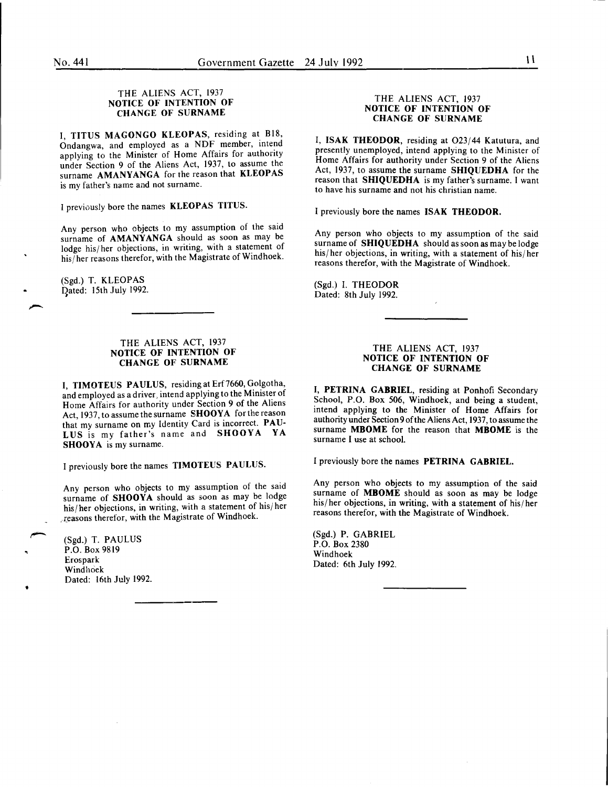## THE ALIENS ACT, 1937 NOTICE OF INTENTION OF CHANGE OF SURNAME

I, TITUS MAGONGO KLEOPAS, residing at 818, Ondangwa, and employed as a NDF member, intend applying to the Minister of Home Affairs for authority under Section 9 of the Aliens Act, 1937, to assume the surname AMANYANGA for the reason that KLEOPAS is my father's name and not surname.

I previously bore the names KLEOPAS TITUS.

Any person who objects to my assumption of the said surname of AMANYANGA should as soon as may be lodge his/ her objections, in writing, with a statement of his/her reasons therefor, with the Magistrate of Windhoek.

(Sgd.) T. KLEOPAS Dated: 15th July 1992.

#### THE ALIENS ACT, 1937 NOTICE OF INTENTION OF CHANGE OF SURNAME

I, TIMOTEUS PAULUS, residing at Erf7660, Golgotha, and employed as a driver, intend applying to the Minister of Home Affairs for authority under Section 9 of the Aliens Act, 1937, to assume the surname SHOOYA for the reason that my surname on my Identity Card is incorrect. PAU-LUS is my father's name and SHOOYA YA SHOOYA is my surname.

I previously bore the names TIMOTEUS PAULUS.

Any person who objects to my assumption of the said surname of SHOOYA should as soon as may be lodge his/her objections, in writing, with a statement of his/her . I:easons therefor, with the Magistrate of Windhoek.

(Sgd.) T. PAULUS P.O. Box 9819 **Erospark** Windhoek Dated: 16th July 1992.

•

## THE ALIENS ACT, 1937 NOTICE OF INTENTION OF CHANGE OF SURNAME

I, ISAK THEODOR, residing at O23/44 Katutura, and presently unemployed, mtend applying to the Minister of Home Affairs for authority under Section 9 of the Aliens Act, 1937, to assume the surname SHIQUEDHA for the reason that SHIQUEDHA is my father's surname. I want to have his surname and not his christian name.

I previously bore the names ISAK THEODOR.

Any person who objects to my assumption of the said surname of SHIQUEDHA should as soon as may be lodge his/her objections, in writing, with a statement of his/her reasons therefor, with the Magistrate of Windhoek.

(Sgd.) I. THEODOR Dated: 8th July 1992.

#### THE ALIENS ACT, 1937 NOTICE OF INTENTION OF CHANGE OF SURNAME

I, PETRINA GABRIEL, residing at Ponhofi Secondary School, P.O. Box 506, Windhoek, and being a student, mtend applymg to the Minister of Home Affairs for authority under Section 9 of the Aliens Act, 1937, to assume the surname MBOME for the reason that MBOME is the surname I use at school.

I previously bore the names PETRINA GABRIEL.

Any person who objects to my assumption of the said surname of **MBOME** should as soon as may be lodge his/her objections, in writing, with a statement of his/her reasons therefor, With the Magistrate of Windhoek .

(Sgd.) P. GABRIEL P.O. Box 2380 Windhoek Dated: 6th July 1992.